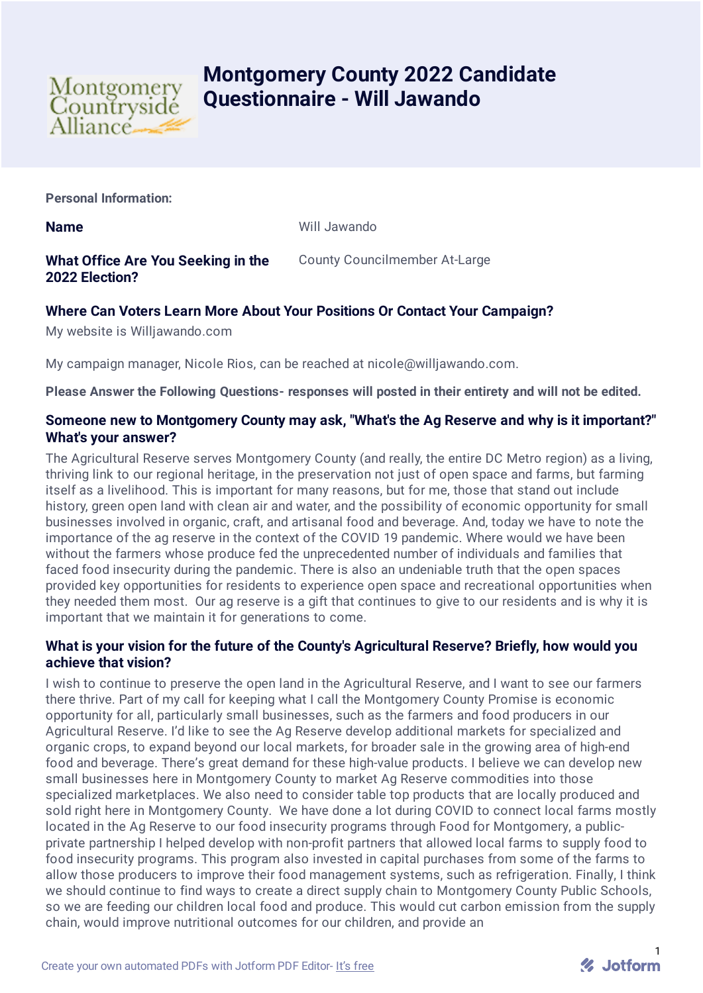

# **Montgomery County 2022 Candidate Questionnaire - Will Jawando**

**Personal Information:**

**Name** Will Jawando

# **What Office Are You Seeking in the 2022 Election?**

County Councilmember At-Large

# **Where Can Voters Learn More About Your Positions Or Contact Your Campaign?**

My website is Willjawando.com

My campaign manager, Nicole Rios, can be reached at nicole@willjawando.com.

**Please Answer the Following Questions- responses will posted in their entirety and will not be edited.**

### **Someone new to Montgomery County may ask, "What's the Ag Reserve and why is it important?" What's your answer?**

The Agricultural Reserve serves Montgomery County (and really, the entire DC Metro region) as a living, thriving link to our regional heritage, in the preservation not just of open space and farms, but farming itself as a livelihood. This is important for many reasons, but for me, those that stand out include history, green open land with clean air and water, and the possibility of economic opportunity for small businesses involved in organic, craft, and artisanal food and beverage. And, today we have to note the importance of the ag reserve in the context of the COVID 19 pandemic. Where would we have been without the farmers whose produce fed the unprecedented number of individuals and families that faced food insecurity during the pandemic. There is also an undeniable truth that the open spaces provided key opportunities for residents to experience open space and recreational opportunities when they needed them most. Our ag reserve is a gift that continues to give to our residents and is why it is important that we maintain it for generations to come.

## **What is your vision for the future of the County's Agricultural Reserve? Briefly, how would you achieve that vision?**

I wish to continue to preserve the open land in the Agricultural Reserve, and I want to see our farmers there thrive. Part of my call for keeping what I call the Montgomery County Promise is economic opportunity for all, particularly small businesses, such as the farmers and food producers in our Agricultural Reserve. I'd like to see the Ag Reserve develop additional markets for specialized and organic crops, to expand beyond our local markets, for broader sale in the growing area of high-end food and beverage. There's great demand for these high-value products. I believe we can develop new small businesses here in Montgomery County to market Ag Reserve commodities into those specialized marketplaces. We also need to consider table top products that are locally produced and sold right here in Montgomery County. We have done a lot during COVID to connect local farms mostly located in the Ag Reserve to our food insecurity programs through Food for Montgomery, a publicprivate partnership I helped develop with non-profit partners that allowed local farms to supply food to food insecurity programs. This program also invested in capital purchases from some of the farms to allow those producers to improve their food management systems, such as refrigeration. Finally, I think we should continue to find ways to create a direct supply chain to Montgomery County Public Schools, so we are feeding our children local food and produce. This would cut carbon emission from the supply chain, would improve nutritional outcomes for our children, and provide an

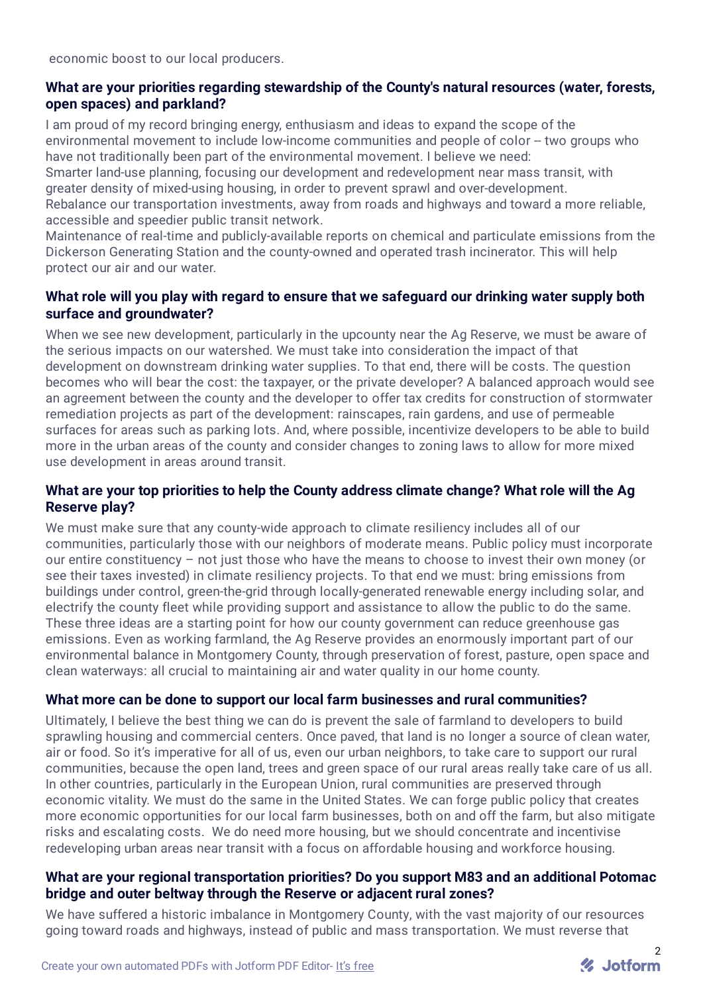economic boost to our local producers.

## **What are your priorities regarding stewardship of the County's natural resources (water, forests, open spaces) and parkland?**

I am proud of my record bringing energy, enthusiasm and ideas to expand the scope of the environmental movement to include low-income communities and people of color -- two groups who have not traditionally been part of the environmental movement. I believe we need:

Smarter land-use planning, focusing our development and redevelopment near mass transit, with greater density of mixed-using housing, in order to prevent sprawl and over-development.

Rebalance our transportation investments, away from roads and highways and toward a more reliable, accessible and speedier public transit network.

Maintenance of real-time and publicly-available reports on chemical and particulate emissions from the Dickerson Generating Station and the county-owned and operated trash incinerator. This will help protect our air and our water.

# **What role will you play with regard to ensure that we safeguard our drinking water supply both surface and groundwater?**

When we see new development, particularly in the upcounty near the Ag Reserve, we must be aware of the serious impacts on our watershed. We must take into consideration the impact of that development on downstream drinking water supplies. To that end, there will be costs. The question becomes who will bear the cost: the taxpayer, or the private developer? A balanced approach would see an agreement between the county and the developer to offer tax credits for construction of stormwater remediation projects as part of the development: rainscapes, rain gardens, and use of permeable surfaces for areas such as parking lots. And, where possible, incentivize developers to be able to build more in the urban areas of the county and consider changes to zoning laws to allow for more mixed use development in areas around transit.

# **What are your top priorities to help the County address climate change? What role will the Ag Reserve play?**

We must make sure that any county-wide approach to climate resiliency includes all of our communities, particularly those with our neighbors of moderate means. Public policy must incorporate our entire constituency – not just those who have the means to choose to invest their own money (or see their taxes invested) in climate resiliency projects. To that end we must: bring emissions from buildings under control, green-the-grid through locally-generated renewable energy including solar, and electrify the county fleet while providing support and assistance to allow the public to do the same. These three ideas are a starting point for how our county government can reduce greenhouse gas emissions. Even as working farmland, the Ag Reserve provides an enormously important part of our environmental balance in Montgomery County, through preservation of forest, pasture, open space and clean waterways: all crucial to maintaining air and water quality in our home county.

# **What more can be done to support our local farm businesses and rural communities?**

Ultimately, I believe the best thing we can do is prevent the sale of farmland to developers to build sprawling housing and commercial centers. Once paved, that land is no longer a source of clean water, air or food. So it's imperative for all of us, even our urban neighbors, to take care to support our rural communities, because the open land, trees and green space of our rural areas really take care of us all. In other countries, particularly in the European Union, rural communities are preserved through economic vitality. We must do the same in the United States. We can forge public policy that creates more economic opportunities for our local farm businesses, both on and off the farm, but also mitigate risks and escalating costs. We do need more housing, but we should concentrate and incentivise redeveloping urban areas near transit with a focus on affordable housing and workforce housing.

## **What are your regional transportation priorities? Do you support M83 and an additional Potomac bridge and outer beltway through the Reserve or adjacent rural zones?**

We have suffered a historic imbalance in Montgomery County, with the vast majority of our resources going toward roads and highways, instead of public and mass transportation. We must reverse that

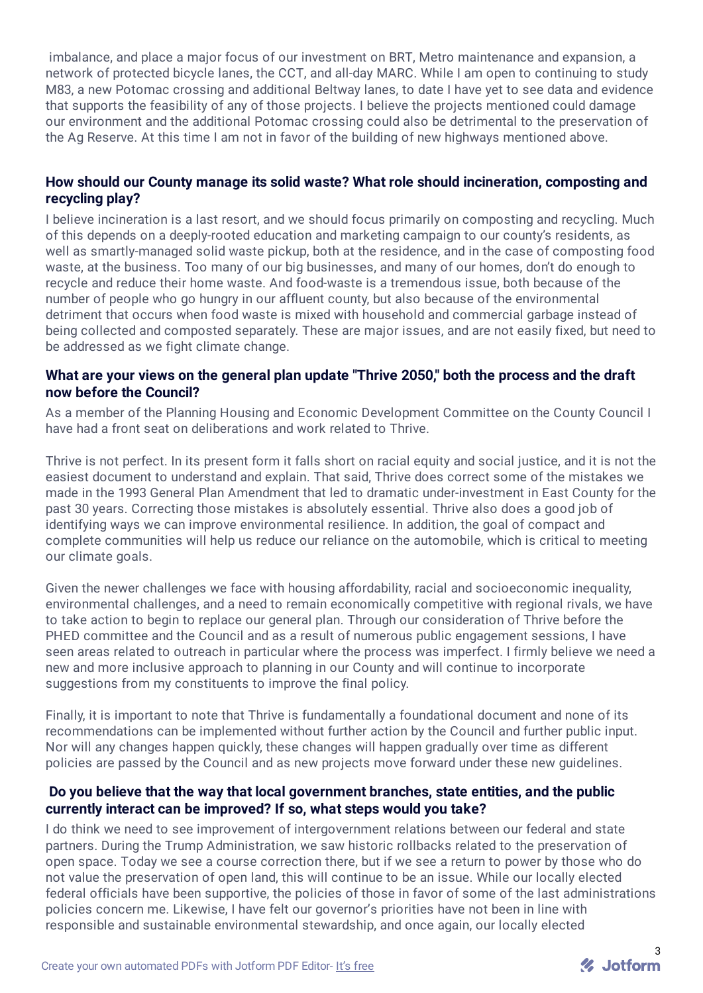imbalance, and place a major focus of our investment on BRT, Metro maintenance and expansion, a network of protected bicycle lanes, the CCT, and all-day MARC. While I am open to continuing to study M83, a new Potomac crossing and additional Beltway lanes, to date I have yet to see data and evidence that supports the feasibility of any of those projects. I believe the projects mentioned could damage our environment and the additional Potomac crossing could also be detrimental to the preservation of the Ag Reserve. At this time I am not in favor of the building of new highways mentioned above.

### **How should our County manage its solid waste? What role should incineration, composting and recycling play?**

I believe incineration is a last resort, and we should focus primarily on composting and recycling. Much of this depends on a deeply-rooted education and marketing campaign to our county's residents, as well as smartly-managed solid waste pickup, both at the residence, and in the case of composting food waste, at the business. Too many of our big businesses, and many of our homes, don't do enough to recycle and reduce their home waste. And food-waste is a tremendous issue, both because of the number of people who go hungry in our affluent county, but also because of the environmental detriment that occurs when food waste is mixed with household and commercial garbage instead of being collected and composted separately. These are major issues, and are not easily fixed, but need to be addressed as we fight climate change.

#### **What are your views on the general plan update "Thrive 2050," both the process and the draft now before the Council?**

As a member of the Planning Housing and Economic Development Committee on the County Council I have had a front seat on deliberations and work related to Thrive.

Thrive is not perfect. In its present form it falls short on racial equity and social justice, and it is not the easiest document to understand and explain. That said, Thrive does correct some of the mistakes we made in the 1993 General Plan Amendment that led to dramatic under-investment in East County for the past 30 years. Correcting those mistakes is absolutely essential. Thrive also does a good job of identifying ways we can improve environmental resilience. In addition, the goal of compact and complete communities will help us reduce our reliance on the automobile, which is critical to meeting our climate goals.

Given the newer challenges we face with housing affordability, racial and socioeconomic inequality, environmental challenges, and a need to remain economically competitive with regional rivals, we have to take action to begin to replace our general plan. Through our consideration of Thrive before the PHED committee and the Council and as a result of numerous public engagement sessions, I have seen areas related to outreach in particular where the process was imperfect. I firmly believe we need a new and more inclusive approach to planning in our County and will continue to incorporate suggestions from my constituents to improve the final policy.

Finally, it is important to note that Thrive is fundamentally a foundational document and none of its recommendations can be implemented without further action by the Council and further public input. Nor will any changes happen quickly, these changes will happen gradually over time as different policies are passed by the Council and as new projects move forward under these new guidelines.

#### **Do you believe that the way that local government branches, state entities, and the public currently interact can be improved? If so, what steps would you take?**

I do think we need to see improvement of intergovernment relations between our federal and state partners. During the Trump Administration, we saw historic rollbacks related to the preservation of open space. Today we see a course correction there, but if we see a return to power by those who do not value the preservation of open land, this will continue to be an issue. While our locally elected federal officials have been supportive, the policies of those in favor of some of the last administrations policies concern me. Likewise, I have felt our governor's priorities have not been in line with responsible and sustainable environmental stewardship, and once again, our locally elected